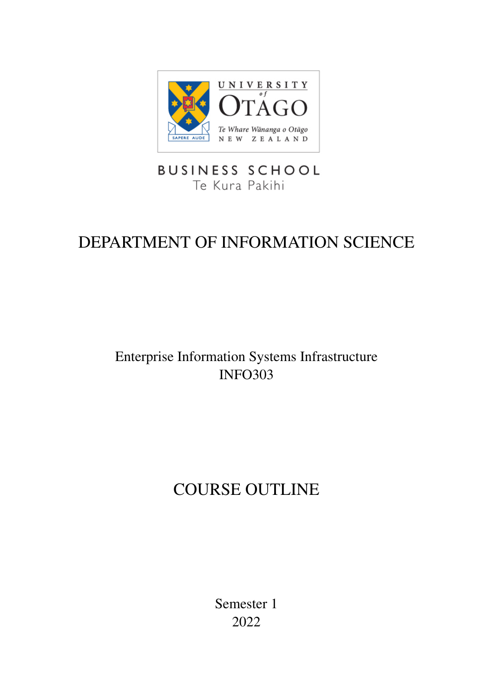

## **BUSINESS SCHOOL** Te Kura Pakihi

# DEPARTMENT OF INFORMATION SCIENCE

## Enterprise Information Systems Infrastructure INFO303

# COURSE OUTLINE

Semester 1 2022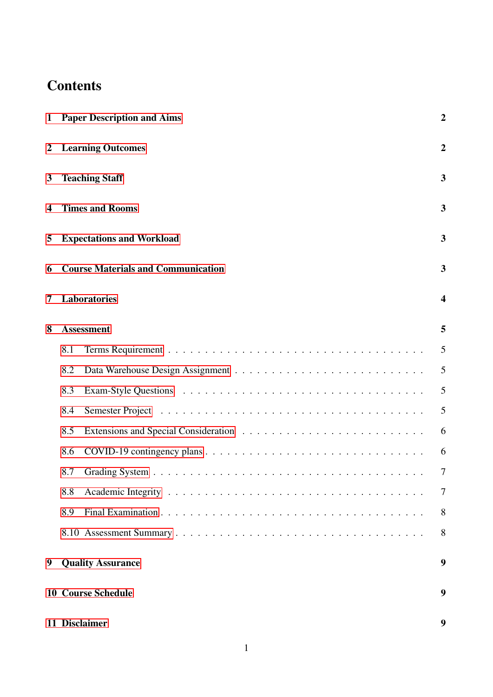## **Contents**

| $\mathbf{1}$   | <b>Paper Description and Aims</b>         | $\boldsymbol{2}$        |  |  |
|----------------|-------------------------------------------|-------------------------|--|--|
| $\overline{2}$ | <b>Learning Outcomes</b>                  |                         |  |  |
| 3              | <b>Teaching Staff</b>                     |                         |  |  |
| 4              | <b>Times and Rooms</b>                    |                         |  |  |
| 5              | <b>Expectations and Workload</b>          |                         |  |  |
| 6              | <b>Course Materials and Communication</b> |                         |  |  |
| 7              | <b>Laboratories</b>                       | $\overline{\mathbf{4}}$ |  |  |
| 8              | <b>Assessment</b>                         | 5                       |  |  |
|                | 8.1                                       | 5                       |  |  |
|                | 8.2                                       | 5                       |  |  |
|                | 8.3                                       | 5                       |  |  |
|                | 8.4                                       | 5                       |  |  |
|                | 8.5                                       | 6                       |  |  |
|                | 8.6                                       | 6                       |  |  |
|                | 8.7                                       | 7                       |  |  |
|                | 8.8                                       | 7                       |  |  |
|                | 8.9                                       | 8                       |  |  |
|                |                                           | 8                       |  |  |
| 9              | <b>Quality Assurance</b>                  | 9                       |  |  |
|                | <b>10 Course Schedule</b>                 | 9                       |  |  |
|                | 11 Disclaimer                             | 9                       |  |  |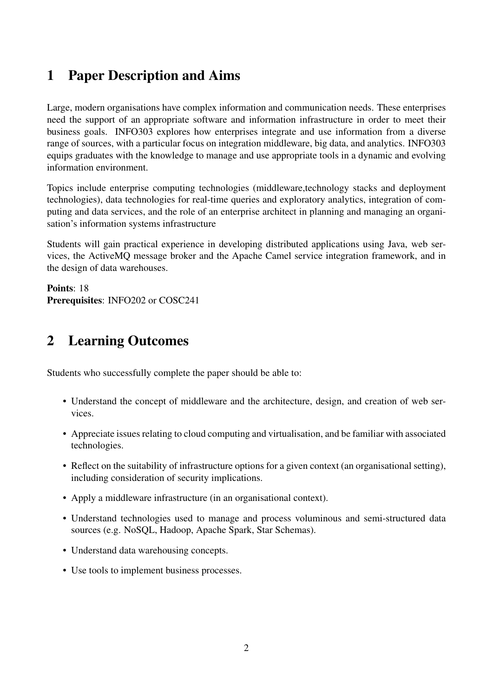## <span id="page-2-0"></span>1 Paper Description and Aims

Large, modern organisations have complex information and communication needs. These enterprises need the support of an appropriate software and information infrastructure in order to meet their business goals. INFO303 explores how enterprises integrate and use information from a diverse range of sources, with a particular focus on integration middleware, big data, and analytics. INFO303 equips graduates with the knowledge to manage and use appropriate tools in a dynamic and evolving information environment.

Topics include enterprise computing technologies (middleware,technology stacks and deployment technologies), data technologies for real-time queries and exploratory analytics, integration of computing and data services, and the role of an enterprise architect in planning and managing an organisation's information systems infrastructure

Students will gain practical experience in developing distributed applications using Java, web services, the ActiveMQ message broker and the Apache Camel service integration framework, and in the design of data warehouses.

Points: 18 Prerequisites: INFO202 or COSC241

## <span id="page-2-1"></span>2 Learning Outcomes

Students who successfully complete the paper should be able to:

- Understand the concept of middleware and the architecture, design, and creation of web services.
- Appreciate issues relating to cloud computing and virtualisation, and be familiar with associated technologies.
- Reflect on the suitability of infrastructure options for a given context (an organisational setting), including consideration of security implications.
- Apply a middleware infrastructure (in an organisational context).
- Understand technologies used to manage and process voluminous and semi-structured data sources (e.g. NoSQL, Hadoop, Apache Spark, Star Schemas).
- Understand data warehousing concepts.
- Use tools to implement business processes.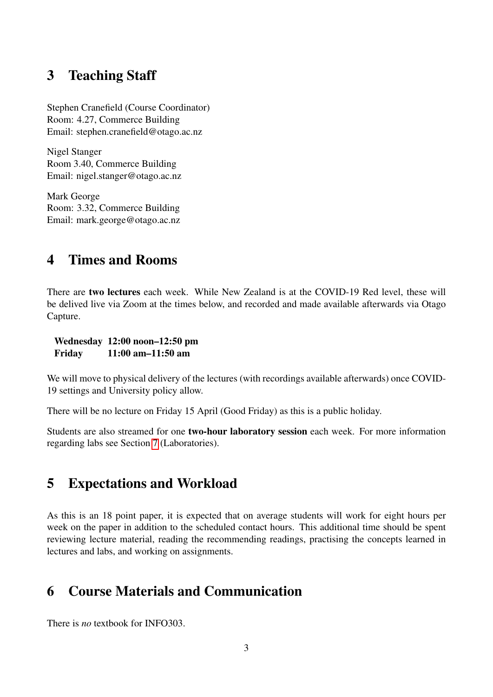### <span id="page-3-0"></span>3 Teaching Staff

Stephen Cranefield (Course Coordinator) Room: 4.27, Commerce Building Email: stephen.cranefield@otago.ac.nz

Nigel Stanger Room 3.40, Commerce Building Email: nigel.stanger@otago.ac.nz

Mark George Room: 3.32, Commerce Building Email: mark.george@otago.ac.nz

## <span id="page-3-1"></span>4 Times and Rooms

There are two lectures each week. While New Zealand is at the COVID-19 Red level, these will be delived live via Zoom at the times below, and recorded and made available afterwards via Otago Capture.

Wednesday 12:00 noon–12:50 pm Friday 11:00 am–11:50 am

We will move to physical delivery of the lectures (with recordings available afterwards) once COVID-19 settings and University policy allow.

There will be no lecture on Friday 15 April (Good Friday) as this is a public holiday.

Students are also streamed for one two-hour laboratory session each week. For more information regarding labs see Section [7](#page-4-0) (Laboratories).

## <span id="page-3-2"></span>5 Expectations and Workload

As this is an 18 point paper, it is expected that on average students will work for eight hours per week on the paper in addition to the scheduled contact hours. This additional time should be spent reviewing lecture material, reading the recommending readings, practising the concepts learned in lectures and labs, and working on assignments.

## <span id="page-3-3"></span>6 Course Materials and Communication

There is *no* textbook for INFO303.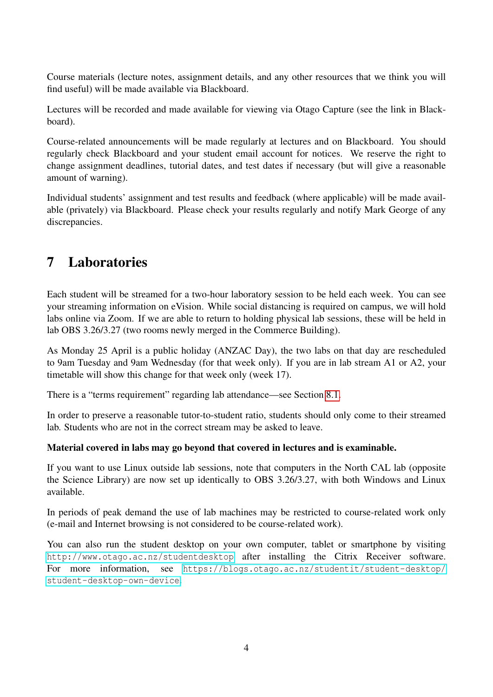Course materials (lecture notes, assignment details, and any other resources that we think you will find useful) will be made available via Blackboard.

Lectures will be recorded and made available for viewing via Otago Capture (see the link in Blackboard).

Course-related announcements will be made regularly at lectures and on Blackboard. You should regularly check Blackboard and your student email account for notices. We reserve the right to change assignment deadlines, tutorial dates, and test dates if necessary (but will give a reasonable amount of warning).

Individual students' assignment and test results and feedback (where applicable) will be made available (privately) via Blackboard. Please check your results regularly and notify Mark George of any discrepancies.

## <span id="page-4-0"></span>7 Laboratories

Each student will be streamed for a two-hour laboratory session to be held each week. You can see your streaming information on eVision. While social distancing is required on campus, we will hold labs online via Zoom. If we are able to return to holding physical lab sessions, these will be held in lab OBS 3.26/3.27 (two rooms newly merged in the Commerce Building).

As Monday 25 April is a public holiday (ANZAC Day), the two labs on that day are rescheduled to 9am Tuesday and 9am Wednesday (for that week only). If you are in lab stream A1 or A2, your timetable will show this change for that week only (week 17).

There is a "terms requirement" regarding lab attendance—see Section [8.1.](#page-5-1)

In order to preserve a reasonable tutor-to-student ratio, students should only come to their streamed lab. Students who are not in the correct stream may be asked to leave.

#### Material covered in labs may go beyond that covered in lectures and is examinable.

If you want to use Linux outside lab sessions, note that computers in the North CAL lab (opposite the Science Library) are now set up identically to OBS 3.26/3.27, with both Windows and Linux available.

In periods of peak demand the use of lab machines may be restricted to course-related work only (e-mail and Internet browsing is not considered to be course-related work).

You can also run the student desktop on your own computer, tablet or smartphone by visiting <http://www.otago.ac.nz/studentdesktop> after installing the Citrix Receiver software. For more information, see [https://blogs.otago.ac.nz/studentit/student-desktop/](https://blogs.otago.ac.nz/studentit/student-desktop/student-desktop-own-device) [student-desktop-own-device](https://blogs.otago.ac.nz/studentit/student-desktop/student-desktop-own-device).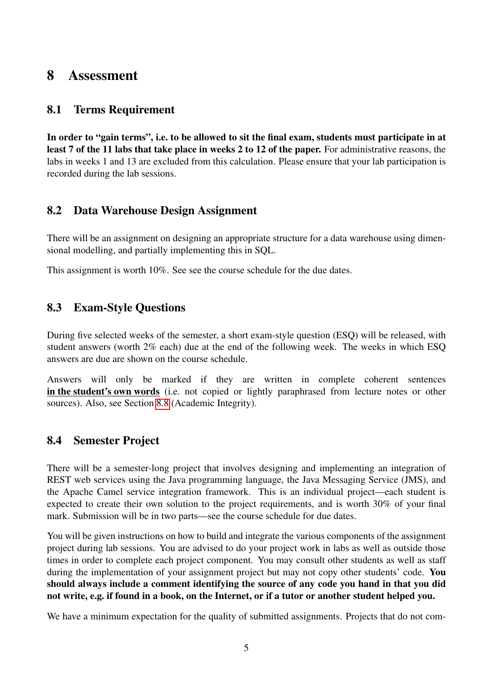### <span id="page-5-0"></span>8 Assessment

#### <span id="page-5-1"></span>8.1 Terms Requirement

In order to "gain terms", i.e. to be allowed to sit the final exam, students must participate in at least 7 of the 11 labs that take place in weeks 2 to 12 of the paper. For administrative reasons, the labs in weeks 1 and 13 are excluded from this calculation. Please ensure that your lab participation is recorded during the lab sessions.

#### <span id="page-5-2"></span>8.2 Data Warehouse Design Assignment

There will be an assignment on designing an appropriate structure for a data warehouse using dimensional modelling, and partially implementing this in SQL.

This assignment is worth 10%. See see the course schedule for the due dates.

#### <span id="page-5-3"></span>8.3 Exam-Style Questions

During five selected weeks of the semester, a short exam-style question (ESQ) will be released, with student answers (worth 2% each) due at the end of the following week. The weeks in which ESQ answers are due are shown on the course schedule.

Answers will only be marked if they are written in complete coherent sentences in the student's own words (i.e. not copied or lightly paraphrased from lecture notes or other sources). Also, see Section [8.8](#page-7-1) (Academic Integrity).

#### <span id="page-5-4"></span>8.4 Semester Project

There will be a semester-long project that involves designing and implementing an integration of REST web services using the Java programming language, the Java Messaging Service (JMS), and the Apache Camel service integration framework. This is an individual project—each student is expected to create their own solution to the project requirements, and is worth 30% of your final mark. Submission will be in two parts—see the course schedule for due dates.

You will be given instructions on how to build and integrate the various components of the assignment project during lab sessions. You are advised to do your project work in labs as well as outside those times in order to complete each project component. You may consult other students as well as staff during the implementation of your assignment project but may not copy other students' code. You should always include a comment identifying the source of any code you hand in that you did not write, e.g. if found in a book, on the Internet, or if a tutor or another student helped you.

We have a minimum expectation for the quality of submitted assignments. Projects that do not com-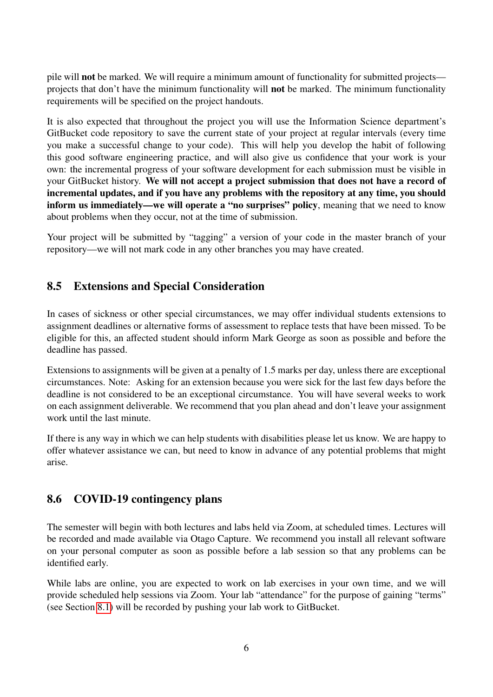pile will not be marked. We will require a minimum amount of functionality for submitted projects projects that don't have the minimum functionality will not be marked. The minimum functionality requirements will be specified on the project handouts.

It is also expected that throughout the project you will use the Information Science department's GitBucket code repository to save the current state of your project at regular intervals (every time you make a successful change to your code). This will help you develop the habit of following this good software engineering practice, and will also give us confidence that your work is your own: the incremental progress of your software development for each submission must be visible in your GitBucket history. We will not accept a project submission that does not have a record of incremental updates, and if you have any problems with the repository at any time, you should inform us immediately—we will operate a "no surprises" policy, meaning that we need to know about problems when they occur, not at the time of submission.

Your project will be submitted by "tagging" a version of your code in the master branch of your repository—we will not mark code in any other branches you may have created.

#### <span id="page-6-0"></span>8.5 Extensions and Special Consideration

In cases of sickness or other special circumstances, we may offer individual students extensions to assignment deadlines or alternative forms of assessment to replace tests that have been missed. To be eligible for this, an affected student should inform Mark George as soon as possible and before the deadline has passed.

Extensions to assignments will be given at a penalty of 1.5 marks per day, unless there are exceptional circumstances. Note: Asking for an extension because you were sick for the last few days before the deadline is not considered to be an exceptional circumstance. You will have several weeks to work on each assignment deliverable. We recommend that you plan ahead and don't leave your assignment work until the last minute.

If there is any way in which we can help students with disabilities please let us know. We are happy to offer whatever assistance we can, but need to know in advance of any potential problems that might arise.

#### <span id="page-6-1"></span>8.6 COVID-19 contingency plans

The semester will begin with both lectures and labs held via Zoom, at scheduled times. Lectures will be recorded and made available via Otago Capture. We recommend you install all relevant software on your personal computer as soon as possible before a lab session so that any problems can be identified early.

While labs are online, you are expected to work on lab exercises in your own time, and we will provide scheduled help sessions via Zoom. Your lab "attendance" for the purpose of gaining "terms" (see Section [8.1\)](#page-5-1) will be recorded by pushing your lab work to GitBucket.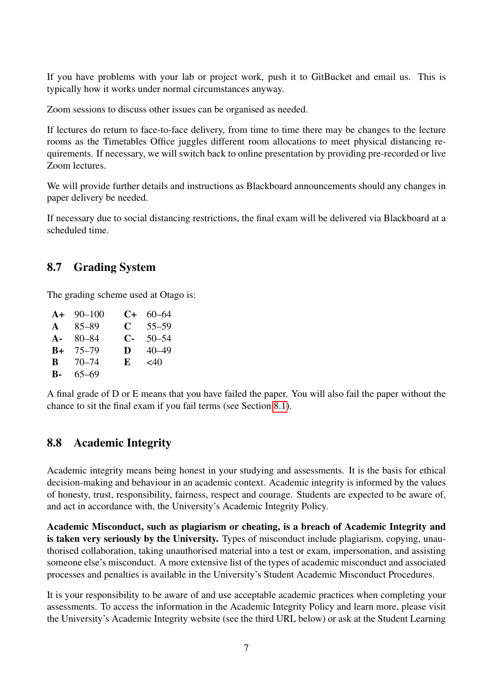If you have problems with your lab or project work, push it to GitBucket and email us. This is typically how it works under normal circumstances anyway.

Zoom sessions to discuss other issues can be organised as needed.

If lectures do return to face-to-face delivery, from time to time there may be changes to the lecture rooms as the Timetables Office juggles different room allocations to meet physical distancing requirements. If necessary, we will switch back to online presentation by providing pre-recorded or live Zoom lectures.

We will provide further details and instructions as Blackboard announcements should any changes in paper delivery be needed.

If necessary due to social distancing restrictions, the final exam will be delivered via Blackboard at a scheduled time.

#### <span id="page-7-0"></span>8.7 Grading System

The grading scheme used at Otago is:

|              | $A+90-100$ | C+ | $60 - 64$ |
|--------------|------------|----|-----------|
| $\mathbf{A}$ | $85 - 89$  | C  | $55 - 59$ |
| $A -$        | 80–84      | С- | $50 - 54$ |
| $B+$         | $75 - 79$  | D  | $40 - 49$ |
| B            | 70–74      | E  | $<$ 40    |
| <b>B-</b>    | $65 - 69$  |    |           |

A final grade of D or E means that you have failed the paper. You will also fail the paper without the chance to sit the final exam if you fail terms (see Section [8.1\)](#page-5-1).

#### <span id="page-7-1"></span>8.8 Academic Integrity

Academic integrity means being honest in your studying and assessments. It is the basis for ethical decision-making and behaviour in an academic context. Academic integrity is informed by the values of honesty, trust, responsibility, fairness, respect and courage. Students are expected to be aware of, and act in accordance with, the University's Academic Integrity Policy.

Academic Misconduct, such as plagiarism or cheating, is a breach of Academic Integrity and is taken very seriously by the University. Types of misconduct include plagiarism, copying, unauthorised collaboration, taking unauthorised material into a test or exam, impersonation, and assisting someone else's misconduct. A more extensive list of the types of academic misconduct and associated processes and penalties is available in the University's Student Academic Misconduct Procedures.

It is your responsibility to be aware of and use acceptable academic practices when completing your assessments. To access the information in the Academic Integrity Policy and learn more, please visit the University's Academic Integrity website (see the third URL below) or ask at the Student Learning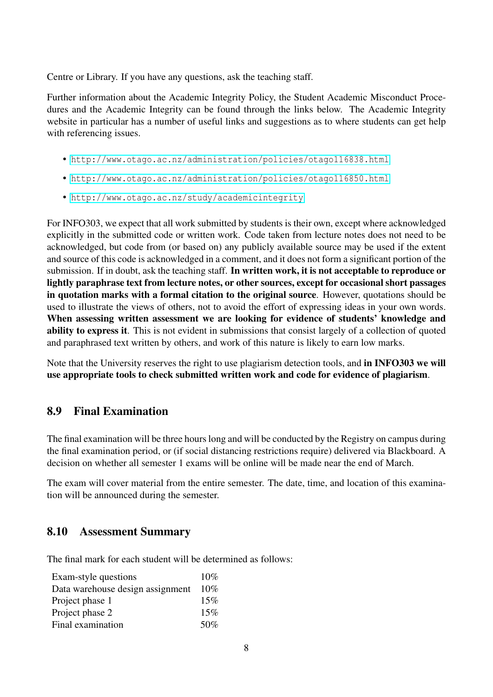Centre or Library. If you have any questions, ask the teaching staff.

Further information about the Academic Integrity Policy, the Student Academic Misconduct Procedures and the Academic Integrity can be found through the links below. The Academic Integrity website in particular has a number of useful links and suggestions as to where students can get help with referencing issues.

- <http://www.otago.ac.nz/administration/policies/otago116838.html>
- <http://www.otago.ac.nz/administration/policies/otago116850.html>
- <http://www.otago.ac.nz/study/academicintegrity>

For INFO303, we expect that all work submitted by students is their own, except where acknowledged explicitly in the submitted code or written work. Code taken from lecture notes does not need to be acknowledged, but code from (or based on) any publicly available source may be used if the extent and source of this code is acknowledged in a comment, and it does not form a significant portion of the submission. If in doubt, ask the teaching staff. In written work, it is not acceptable to reproduce or lightly paraphrase text from lecture notes, or other sources, except for occasional short passages in quotation marks with a formal citation to the original source. However, quotations should be used to illustrate the views of others, not to avoid the effort of expressing ideas in your own words. When assessing written assessment we are looking for evidence of students' knowledge and ability to express it. This is not evident in submissions that consist largely of a collection of quoted and paraphrased text written by others, and work of this nature is likely to earn low marks.

Note that the University reserves the right to use plagiarism detection tools, and in INFO303 we will use appropriate tools to check submitted written work and code for evidence of plagiarism.

#### <span id="page-8-0"></span>8.9 Final Examination

The final examination will be three hours long and will be conducted by the Registry on campus during the final examination period, or (if social distancing restrictions require) delivered via Blackboard. A decision on whether all semester 1 exams will be online will be made near the end of March.

The exam will cover material from the entire semester. The date, time, and location of this examination will be announced during the semester.

#### <span id="page-8-1"></span>8.10 Assessment Summary

The final mark for each student will be determined as follows:

| Exam-style questions             | $10\%$ |
|----------------------------------|--------|
| Data warehouse design assignment | $10\%$ |
| Project phase 1                  | 15%    |
| Project phase 2                  | 15%    |
| Final examination                | 50%    |